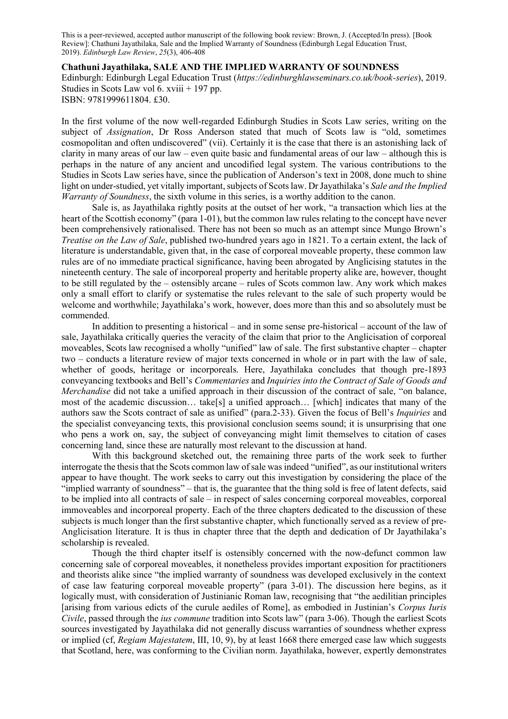This is a peer-reviewed, accepted author manuscript of the following book review: Brown, J. (Accepted/In press). [Book Review]: Chathuni Jayathilaka, Sale and the Implied Warranty of Soundness (Edinburgh Legal Education Trust, 2019). *Edinburgh Law Review*, *25*(3), 406-408

**Chathuni Jayathilaka, SALE AND THE IMPLIED WARRANTY OF SOUNDNESS** Edinburgh: Edinburgh Legal Education Trust (*https://edinburghlawseminars.co.uk/book-series*), 2019. Studies in Scots Law vol 6. xviii + 197 pp. ISBN: 9781999611804. £30.

In the first volume of the now well-regarded Edinburgh Studies in Scots Law series, writing on the subject of *Assignation*, Dr Ross Anderson stated that much of Scots law is "old, sometimes cosmopolitan and often undiscovered" (vii). Certainly it is the case that there is an astonishing lack of clarity in many areas of our law – even quite basic and fundamental areas of our law – although this is perhaps in the nature of any ancient and uncodified legal system. The various contributions to the Studies in Scots Law series have, since the publication of Anderson's text in 2008, done much to shine light on under-studied, yet vitally important, subjects of Scots law. Dr Jayathilaka's *Sale and the Implied Warranty of Soundness*, the sixth volume in this series, is a worthy addition to the canon.

Sale is, as Jayathilaka rightly posits at the outset of her work, "a transaction which lies at the heart of the Scottish economy" (para 1-01), but the common law rules relating to the concept have never been comprehensively rationalised. There has not been so much as an attempt since Mungo Brown's *Treatise on the Law of Sale*, published two-hundred years ago in 1821. To a certain extent, the lack of literature is understandable, given that, in the case of corporeal moveable property, these common law rules are of no immediate practical significance, having been abrogated by Anglicising statutes in the nineteenth century. The sale of incorporeal property and heritable property alike are, however, thought to be still regulated by the – ostensibly arcane – rules of Scots common law. Any work which makes only a small effort to clarify or systematise the rules relevant to the sale of such property would be welcome and worthwhile; Jayathilaka's work, however, does more than this and so absolutely must be commended.

In addition to presenting a historical – and in some sense pre-historical – account of the law of sale, Jayathilaka critically queries the veracity of the claim that prior to the Anglicisation of corporeal moveables, Scots law recognised a wholly "unified" law of sale. The first substantive chapter – chapter two – conducts a literature review of major texts concerned in whole or in part with the law of sale, whether of goods, heritage or incorporeals. Here, Jayathilaka concludes that though pre-1893 conveyancing textbooks and Bell's *Commentaries* and *Inquiries into the Contract of Sale of Goods and Merchandise* did not take a unified approach in their discussion of the contract of sale, "on balance, most of the academic discussion… take[s] a unified approach… [which] indicates that many of the authors saw the Scots contract of sale as unified" (para.2-33). Given the focus of Bell's *Inquiries* and the specialist conveyancing texts, this provisional conclusion seems sound; it is unsurprising that one who pens a work on, say, the subject of conveyancing might limit themselves to citation of cases concerning land, since these are naturally most relevant to the discussion at hand.

With this background sketched out, the remaining three parts of the work seek to further interrogate the thesis that the Scots common law of sale was indeed "unified", as our institutional writers appear to have thought. The work seeks to carry out this investigation by considering the place of the "implied warranty of soundness" – that is, the guarantee that the thing sold is free of latent defects, said to be implied into all contracts of sale – in respect of sales concerning corporeal moveables, corporeal immoveables and incorporeal property. Each of the three chapters dedicated to the discussion of these subjects is much longer than the first substantive chapter, which functionally served as a review of pre-Anglicisation literature. It is thus in chapter three that the depth and dedication of Dr Jayathilaka's scholarship is revealed.

Though the third chapter itself is ostensibly concerned with the now-defunct common law concerning sale of corporeal moveables, it nonetheless provides important exposition for practitioners and theorists alike since "the implied warranty of soundness was developed exclusively in the context of case law featuring corporeal moveable property" (para 3-01). The discussion here begins, as it logically must, with consideration of Justinianic Roman law, recognising that "the aedilitian principles [arising from various edicts of the curule aediles of Rome], as embodied in Justinian's *Corpus Iuris Civile*, passed through the *ius commune* tradition into Scots law" (para 3-06). Though the earliest Scots sources investigated by Jayathilaka did not generally discuss warranties of soundness whether express or implied (cf, *Regiam Majestatem*, III, 10, 9), by at least 1668 there emerged case law which suggests that Scotland, here, was conforming to the Civilian norm. Jayathilaka, however, expertly demonstrates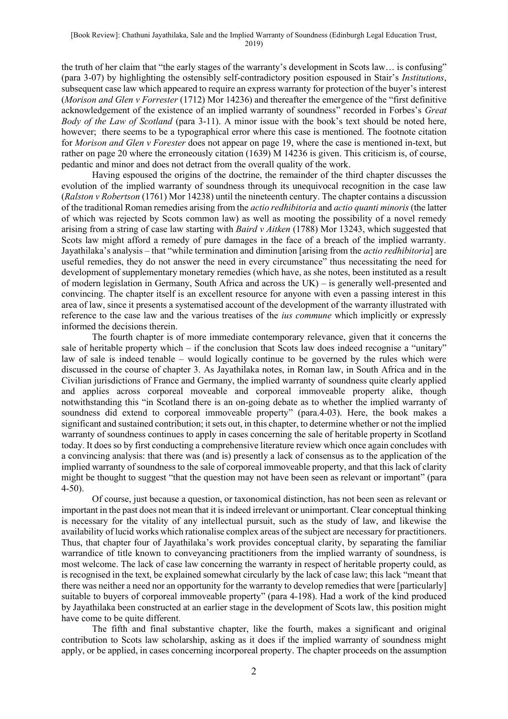the truth of her claim that "the early stages of the warranty's development in Scots law… is confusing" (para 3-07) by highlighting the ostensibly self-contradictory position espoused in Stair's *Institutions*, subsequent case law which appeared to require an express warranty for protection of the buyer's interest (*Morison and Glen v Forrester* (1712) Mor 14236) and thereafter the emergence of the "first definitive acknowledgement of the existence of an implied warranty of soundness" recorded in Forbes's *Great Body of the Law of Scotland* (para 3-11). A minor issue with the book's text should be noted here, however; there seems to be a typographical error where this case is mentioned. The footnote citation for *Morison and Glen v Forester* does not appear on page 19, where the case is mentioned in-text, but rather on page 20 where the erroneously citation (1639) M 14236 is given. This criticism is, of course, pedantic and minor and does not detract from the overall quality of the work.

Having espoused the origins of the doctrine, the remainder of the third chapter discusses the evolution of the implied warranty of soundness through its unequivocal recognition in the case law (*Ralston v Robertson* (1761) Mor 14238) until the nineteenth century. The chapter contains a discussion of the traditional Roman remedies arising from the *actio redhibitoria* and *actio quanti minoris* (the latter of which was rejected by Scots common law) as well as mooting the possibility of a novel remedy arising from a string of case law starting with *Baird v Aitken* (1788) Mor 13243, which suggested that Scots law might afford a remedy of pure damages in the face of a breach of the implied warranty. Jayathilaka's analysis – that "while termination and diminution [arising from the *actio redhibitoria*] are useful remedies, they do not answer the need in every circumstance" thus necessitating the need for development of supplementary monetary remedies (which have, as she notes, been instituted as a result of modern legislation in Germany, South Africa and across the UK) – is generally well-presented and convincing. The chapter itself is an excellent resource for anyone with even a passing interest in this area of law, since it presents a systematised account of the development of the warranty illustrated with reference to the case law and the various treatises of the *ius commune* which implicitly or expressly informed the decisions therein.

The fourth chapter is of more immediate contemporary relevance, given that it concerns the sale of heritable property which – if the conclusion that Scots law does indeed recognise a "unitary" law of sale is indeed tenable – would logically continue to be governed by the rules which were discussed in the course of chapter 3. As Jayathilaka notes, in Roman law, in South Africa and in the Civilian jurisdictions of France and Germany, the implied warranty of soundness quite clearly applied and applies across corporeal moveable and corporeal immoveable property alike, though notwithstanding this "in Scotland there is an on-going debate as to whether the implied warranty of soundness did extend to corporeal immoveable property" (para.4-03). Here, the book makes a significant and sustained contribution; it sets out, in this chapter, to determine whether or not the implied warranty of soundness continues to apply in cases concerning the sale of heritable property in Scotland today. It does so by first conducting a comprehensive literature review which once again concludes with a convincing analysis: that there was (and is) presently a lack of consensus as to the application of the implied warranty of soundness to the sale of corporeal immoveable property, and that this lack of clarity might be thought to suggest "that the question may not have been seen as relevant or important" (para 4-50).

Of course, just because a question, or taxonomical distinction, has not been seen as relevant or important in the past does not mean that it is indeed irrelevant or unimportant. Clear conceptual thinking is necessary for the vitality of any intellectual pursuit, such as the study of law, and likewise the availability of lucid works which rationalise complex areas of the subject are necessary for practitioners. Thus, that chapter four of Jayathilaka's work provides conceptual clarity, by separating the familiar warrandice of title known to conveyancing practitioners from the implied warranty of soundness, is most welcome. The lack of case law concerning the warranty in respect of heritable property could, as is recognised in the text, be explained somewhat circularly by the lack of case law; this lack "meant that there was neither a need nor an opportunity for the warranty to develop remedies that were [particularly] suitable to buyers of corporeal immoveable property" (para 4-198). Had a work of the kind produced by Jayathilaka been constructed at an earlier stage in the development of Scots law, this position might have come to be quite different.

The fifth and final substantive chapter, like the fourth, makes a significant and original contribution to Scots law scholarship, asking as it does if the implied warranty of soundness might apply, or be applied, in cases concerning incorporeal property. The chapter proceeds on the assumption